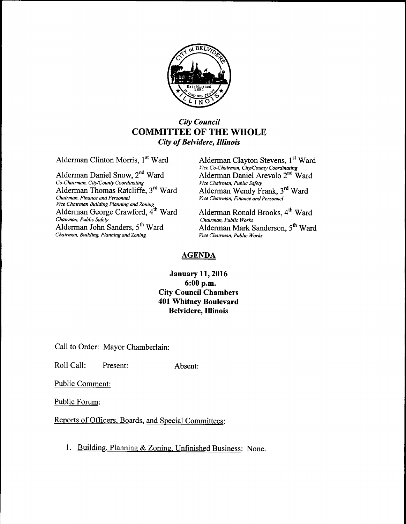

## City Council COMMITTEE OF THE WHOLE City of Belvidere, Illinois

Alderman Daniel Snow, 2<sup>nd</sup> Ward Alderman Daniel Arevalo 2011 Alderman Daniel Arevalo 2014 Alderman Paniel Arevalo 2014 Co-Chairman, City/County Coordinating Alderman Thomas Ratcliffe, 3<sup>rd</sup> Ward Chairman, Finance and Personnel Chairman, Finance and Personnel Vice Chairman, Finance and Personnel Vice Chairman Building Planning and Zoning<br>Alderman George Crawford, 4<sup>th</sup> Ward Chairman, Public Safety<br>Alderman John Sanders, 5<sup>th</sup> Ward Chairman, Building, Planning and Zoning

Alderman Clinton Morris, 1<sup>st</sup> Ward Alderman Clayton Stevens, 1<sup>st</sup> Ward Vice Co-Chairman, City/County Coordinating Alderman Daniel Arevalo 2<sup>nd</sup> Ward Ward

> Alderman Ronald Brooks, 4<sup>th</sup> Ward Chairman, Public Works Alderman Mark Sanderson, 5<sup>th</sup> Ward Vice Chairman, Public Works

## AGENDA

## January 11, 2016 6: 00 p.m. City Council Chambers 401 Whitney Boulevard Belvidere, Illinois

Call to Order: Mayor Chamberlain:

Roll Call: Present: Absent:

Public Comment:

Public Forum:

Reports of Officers, Boards, and Special Committees:

1. Building, Planning & Zoning, Unfinished Business: None.